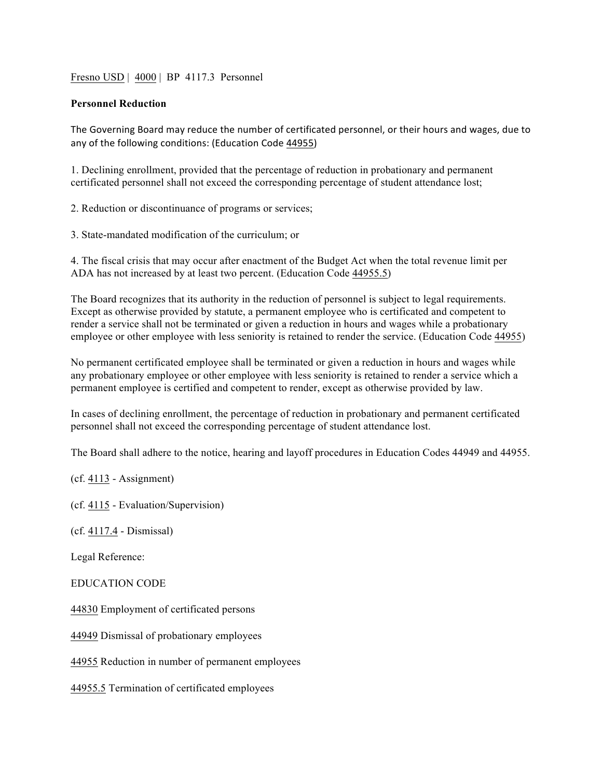Fresno USD | 4000 | BP 4117.3 Personnel

## **Personnel Reduction**

The Governing Board may reduce the number of certificated personnel, or their hours and wages, due to any of the following conditions: (Education Code 44955)

1. Declining enrollment, provided that the percentage of reduction in probationary and permanent certificated personnel shall not exceed the corresponding percentage of student attendance lost;

2. Reduction or discontinuance of programs or services;

3. State-mandated modification of the curriculum; or

4. The fiscal crisis that may occur after enactment of the Budget Act when the total revenue limit per ADA has not increased by at least two percent. (Education Code 44955.5)

The Board recognizes that its authority in the reduction of personnel is subject to legal requirements. Except as otherwise provided by statute, a permanent employee who is certificated and competent to render a service shall not be terminated or given a reduction in hours and wages while a probationary employee or other employee with less seniority is retained to render the service. (Education Code 44955)

No permanent certificated employee shall be terminated or given a reduction in hours and wages while any probationary employee or other employee with less seniority is retained to render a service which a permanent employee is certified and competent to render, except as otherwise provided by law.

In cases of declining enrollment, the percentage of reduction in probationary and permanent certificated personnel shall not exceed the corresponding percentage of student attendance lost.

The Board shall adhere to the notice, hearing and layoff procedures in Education Codes 44949 and 44955.

(cf. 4113 - Assignment)

(cf. 4115 - Evaluation/Supervision)

(cf. 4117.4 - Dismissal)

Legal Reference:

EDUCATION CODE

44830 Employment of certificated persons

44949 Dismissal of probationary employees

44955 Reduction in number of permanent employees

44955.5 Termination of certificated employees